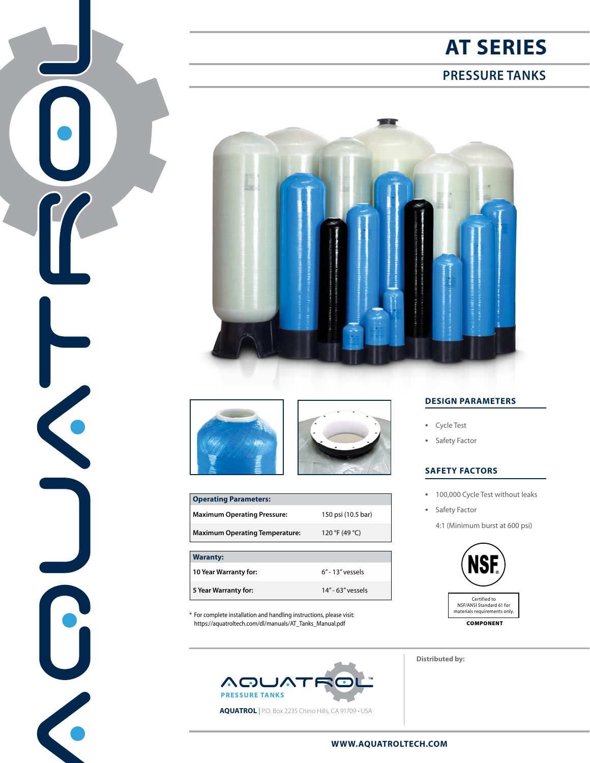## **AT SERIES**

## **PRESSURE TANKS**





 $\left| \bullet \right|$ 

 $\blacksquare$ 



| <b>Operating Parameters:</b>          |                    |  |  |  |  |  |  |  |
|---------------------------------------|--------------------|--|--|--|--|--|--|--|
| <b>Maximum Operating Pressure:</b>    | 150 psi (10.5 bar) |  |  |  |  |  |  |  |
| <b>Maximum Operating Temperature:</b> | 120 °F (49 °C)     |  |  |  |  |  |  |  |
|                                       |                    |  |  |  |  |  |  |  |
| <b>Waranty:</b>                       |                    |  |  |  |  |  |  |  |
| 10 Year Warranty for:                 | $6"$ - 13" vessels |  |  |  |  |  |  |  |

\* For complete installation and handling instructions, please visit: https://aquatroltech.com/dl/manuals/AT\_Tanks\_Manual.pdf

**5 Year Warranty for:** 14" - 63" vessels



### **DESIGN PARAMETERS**

- **•** Cycle Test
- **•** Safety Factor

#### **SAFETY FACTORS**

- **•** 100,000 Cycle Test without leaks
- **•** Safety Factor

4:1 (Minimum burst at 600 psi)



**Distributed by:**